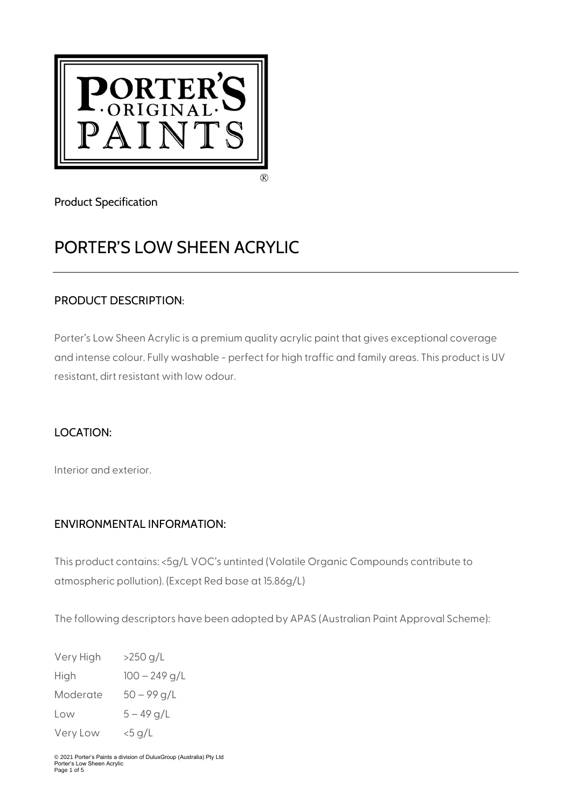

Product Specification

# PORTER'S LOW SHEEN ACRYLIC

# PRODUCT DESCRIPTION:

Porter's Low Sheen Acrylic is a premium quality acrylic paint that gives exceptional coverage and intense colour. Fully washable - perfect for high traffic and family areas. This product is UV resistant, dirt resistant with low odour.

# LOCATION:

Interior and exterior.

## ENVIRONMENTAL INFORMATION:

This product contains: <5g/L VOC's untinted (Volatile Organic Compounds contribute to atmospheric pollution). (Except Red base at 15.86g/L)

The following descriptors have been adopted by APAS (Australian Paint Approval Scheme):

| Very High | >250 g/L        |
|-----------|-----------------|
| High      | $100 - 249$ g/L |
| Moderate  | $50 - 99$ g/L   |
| Low       | $5 - 49$ g/L    |
| Very Low  | <5 g/L          |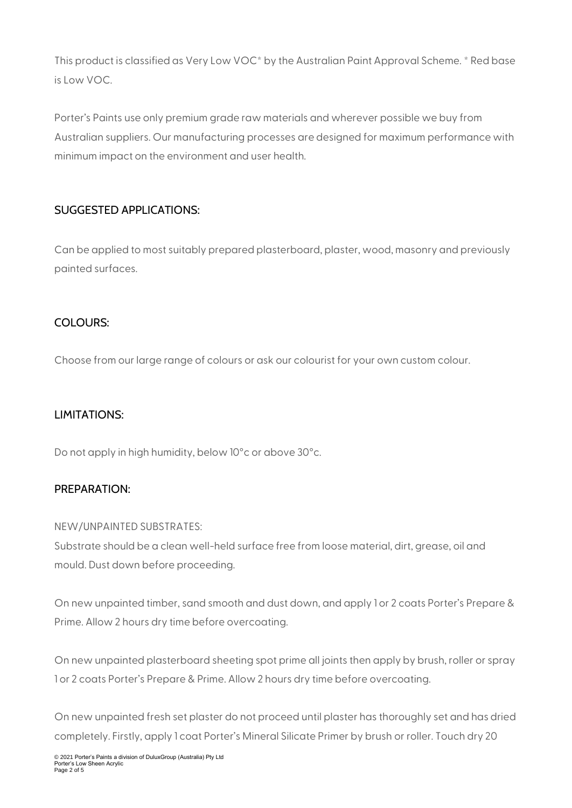This product is classified as Very Low VOC\* by the Australian Paint Approval Scheme. \* Red base is Low VOC.

Porter's Paints use only premium grade raw materials and wherever possible we buy from Australian suppliers. Our manufacturing processes are designed for maximum performance with minimum impact on the environment and user health.

## SUGGESTED APPLICATIONS:

Can be applied to most suitably prepared plasterboard, plaster, wood, masonry and previously painted surfaces.

## COLOURS:

Choose from our large range of colours or ask our colourist for your own custom colour.

## LIMITATIONS:

Do not apply in high humidity, below 10°c or above 30°c.

## PREPARATION:

#### NEW/UNPAINTED SUBSTRATES:

Substrate should be a clean well-held surface free from loose material, dirt, grease, oil and mould. Dust down before proceeding.

On new unpainted timber, sand smooth and dust down, and apply 1 or 2 coats Porter's Prepare & Prime. Allow 2 hours dry time before overcoating.

On new unpainted plasterboard sheeting spot prime all joints then apply by brush, roller or spray 1 or 2 coats Porter's Prepare & Prime. Allow 2 hours dry time before overcoating.

On new unpainted fresh set plaster do not proceed until plaster has thoroughly set and has dried completely. Firstly, apply 1 coat Porter's Mineral Silicate Primer by brush or roller. Touch dry 20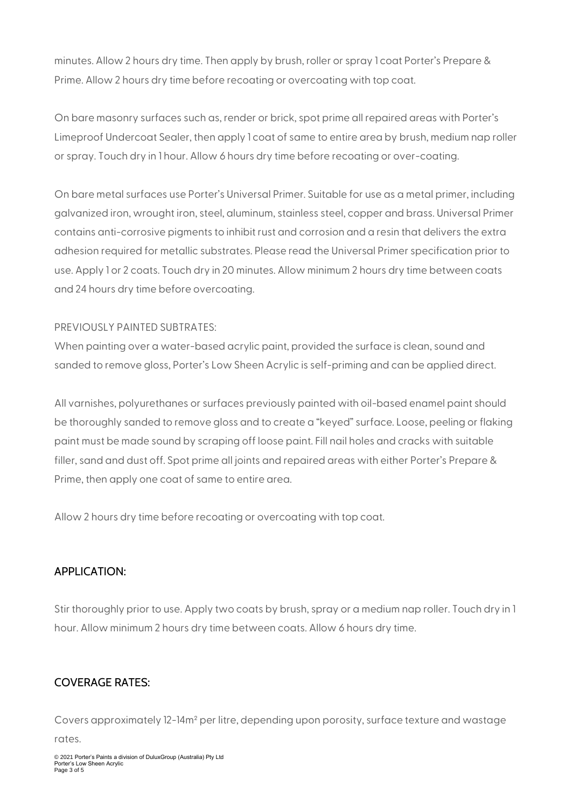minutes. Allow 2 hours dry time. Then apply by brush, roller or spray 1 coat Porter's Prepare & Prime. Allow 2 hours dry time before recoating or overcoating with top coat.

On bare masonry surfaces such as, render or brick, spot prime all repaired areas with Porter's Limeproof Undercoat Sealer, then apply 1 coat of same to entire area by brush, medium nap roller or spray. Touch dry in 1 hour. Allow 6 hours dry time before recoating or over-coating.

On bare metal surfaces use Porter's Universal Primer. Suitable for use as a metal primer, including galvanized iron, wrought iron, steel, aluminum, stainless steel, copper and brass. Universal Primer contains anti-corrosive pigments to inhibit rust and corrosion and a resin that delivers the extra adhesion required for metallic substrates. Please read the Universal Primer specification prior to use. Apply 1 or 2 coats. Touch dry in 20 minutes. Allow minimum 2 hours dry time between coats and 24 hours dry time before overcoating.

#### PREVIOUSLY PAINTED SUBTRATES:

When painting over a water-based acrylic paint, provided the surface is clean, sound and sanded to remove gloss, Porter's Low Sheen Acrylic is self-priming and can be applied direct.

All varnishes, polyurethanes or surfaces previously painted with oil-based enamel paint should be thoroughly sanded to remove gloss and to create a "keyed" surface. Loose, peeling or flaking paint must be made sound by scraping off loose paint. Fill nail holes and cracks with suitable filler, sand and dust off. Spot prime all joints and repaired areas with either Porter's Prepare & Prime, then apply one coat of same to entire area.

Allow 2 hours dry time before recoating or overcoating with top coat.

## APPLICATION:

Stir thoroughly prior to use. Apply two coats by brush, spray or a medium nap roller. Touch dry in 1 hour. Allow minimum 2 hours dry time between coats. Allow 6 hours dry time.

## COVERAGE RATES:

Covers approximately 12-14m² per litre, depending upon porosity, surface texture and wastage rates.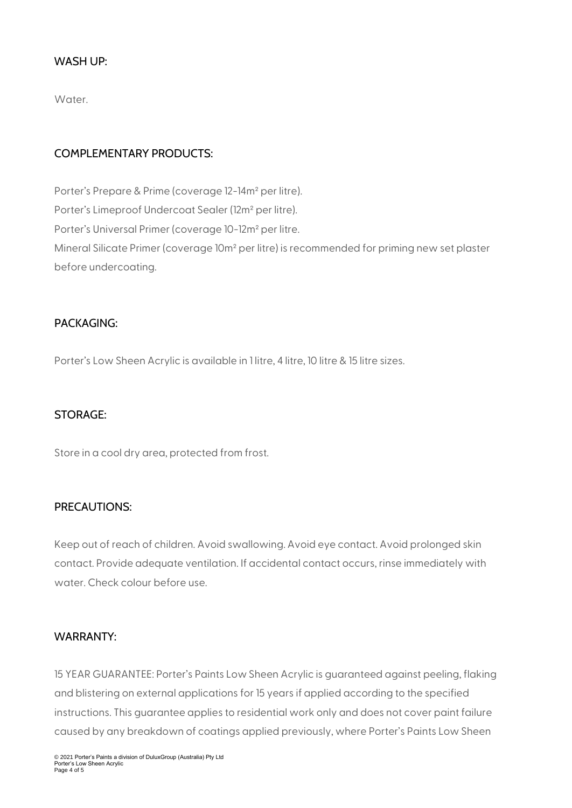#### WASH UP:

Water.

#### COMPLEMENTARY PRODUCTS:

Porter's Prepare & Prime (coverage 12-14m² per litre). Porter's Limeproof Undercoat Sealer (12m² per litre). Porter's Universal Primer (coverage 10-12m² per litre. Mineral Silicate Primer (coverage 10m² per litre) is recommended for priming new set plaster before undercoating.

#### PACKAGING:

Porter's Low Sheen Acrylic is available in 1 litre, 4 litre, 10 litre & 15 litre sizes.

#### STORAGE:

Store in a cool dry area, protected from frost.

#### PRECAUTIONS:

Keep out of reach of children. Avoid swallowing. Avoid eye contact. Avoid prolonged skin contact. Provide adequate ventilation. If accidental contact occurs, rinse immediately with water. Check colour before use.

#### WARRANTY:

15 YEAR GUARANTEE: Porter's Paints Low Sheen Acrylic is guaranteed against peeling, flaking and blistering on external applications for 15 years if applied according to the specified instructions. This guarantee applies to residential work only and does not cover paint failure caused by any breakdown of coatings applied previously, where Porter's Paints Low Sheen